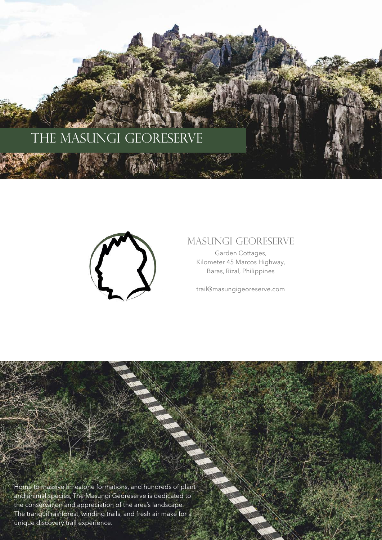



# Masungi Georeserve

Garden Cottages, Kilometer 45 Marcos Highway, Baras, Rizal, Philippines

[trail@masungigeoreserve.com](mailto:trail@masungigeoreserve.com)

Home to massive limestone formations, and hundreds of plant and animal species, The Masungi Georeserve is dedicated to the conservation and appreciation of the area's landscape. The tranquil rainforest, winding trails, and fresh air make for a unique discovery trail experience.